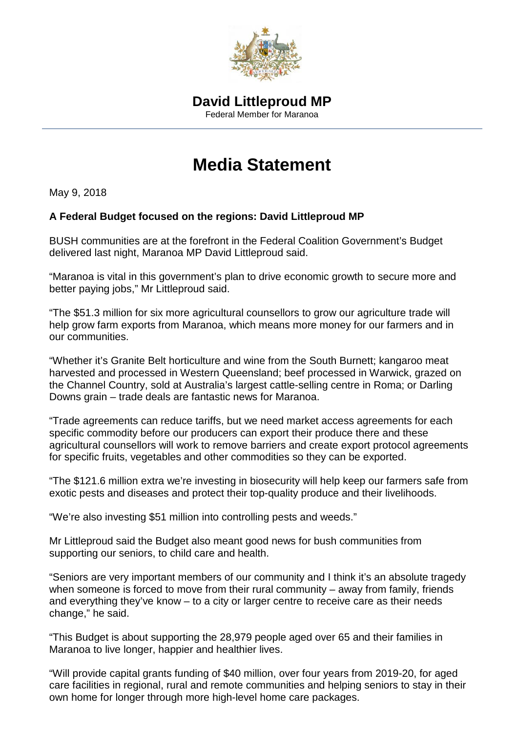

## **Media Statement**

May 9, 2018

## **A Federal Budget focused on the regions: David Littleproud MP**

BUSH communities are at the forefront in the Federal Coalition Government's Budget delivered last night, Maranoa MP David Littleproud said.

"Maranoa is vital in this government's plan to drive economic growth to secure more and better paying jobs," Mr Littleproud said.

"The \$51.3 million for six more agricultural counsellors to grow our agriculture trade will help grow farm exports from Maranoa, which means more money for our farmers and in our communities.

"Whether it's Granite Belt horticulture and wine from the South Burnett; kangaroo meat harvested and processed in Western Queensland; beef processed in Warwick, grazed on the Channel Country, sold at Australia's largest cattle-selling centre in Roma; or Darling Downs grain – trade deals are fantastic news for Maranoa.

"Trade agreements can reduce tariffs, but we need market access agreements for each specific commodity before our producers can export their produce there and these agricultural counsellors will work to remove barriers and create export protocol agreements for specific fruits, vegetables and other commodities so they can be exported.

"The \$121.6 million extra we're investing in biosecurity will help keep our farmers safe from exotic pests and diseases and protect their top-quality produce and their livelihoods.

"We're also investing \$51 million into controlling pests and weeds."

Mr Littleproud said the Budget also meant good news for bush communities from supporting our seniors, to child care and health.

"Seniors are very important members of our community and I think it's an absolute tragedy when someone is forced to move from their rural community – away from family, friends and everything they've know – to a city or larger centre to receive care as their needs change," he said.

"This Budget is about supporting the 28,979 people aged over 65 and their families in Maranoa to live longer, happier and healthier lives.

"Will provide capital grants funding of \$40 million, over four years from 2019-20, for aged care facilities in regional, rural and remote communities and helping seniors to stay in their own home for longer through more high-level home care packages.